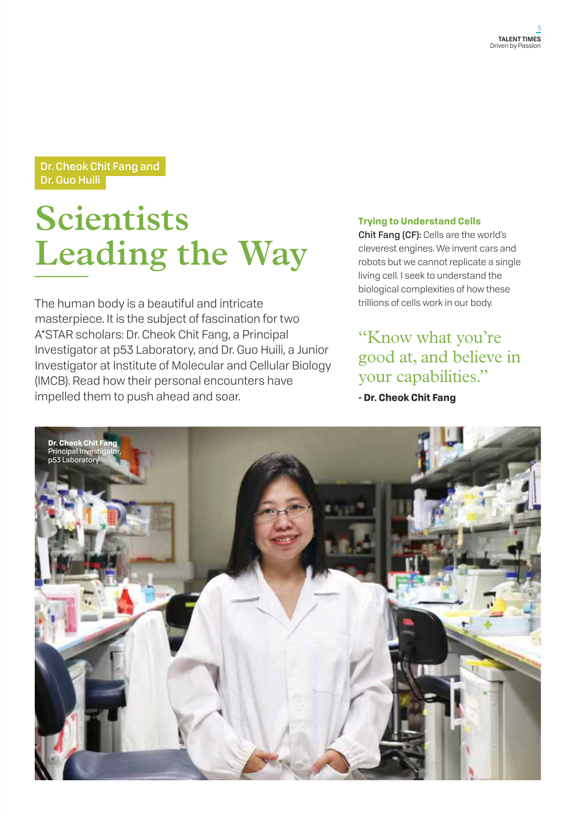## Dr. Cheok Chit Fang and Dr. Guo Huili

# **Scientists Leading the Way**

The human body is a beautiful and intricate masterpiece. It is the subject of fascination for two A\*STAR scholars: Dr. Cheok Chit Fang, a Principal Investigator at p53 Laboratory, and Dr. Guo Huili, a Junior Investigator at Institute of Molecular and Cellular Biology (IMCB). Read how their personal encounters have impelled them to push ahead and soar.

#### **Trying to Understand Cells**

Chit Fang (CF): Cells are the world's cleverest engines. We invent cars and robots but we cannot replicate a single living cell. I seek to understand the biological complexities of how these trillions of cells work in our body.

## "Know what you're good at, and believe in your capabilities."

**- Dr. Cheok Chit Fang** 

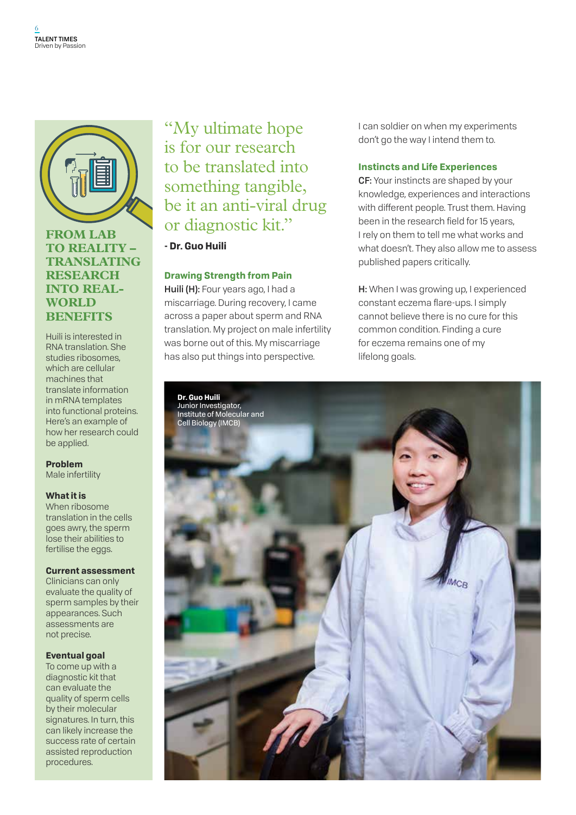

## **From Lab to Reality – Translating Research into Real-WORLD Benefits**

Huili is interested in RNA translation. She studies ribosomes, which are cellular machines that translate information in mRNA templates into functional proteins. Here's an example of how her research could be applied.

#### **Problem**

Male infertility

#### **What it is**

When ribosome translation in the cells goes awry, the sperm lose their abilities to fertilise the eggs.

#### **Current assessment**

Clinicians can only evaluate the quality of sperm samples by their appearances. Such assessments are not precise.

#### **Eventual goal**

To come up with a diagnostic kit that can evaluate the quality of sperm cells by their molecular signatures. In turn, this can likely increase the success rate of certain assisted reproduction procedures.

# "My ultimate hope is for our research to be translated into something tangible, be it an anti-viral drug or diagnostic kit."

**- Dr. Guo Huili** 

### **Drawing Strength from Pain**

Huili (H): Four years ago, I had a miscarriage. During recovery, I came across a paper about sperm and RNA translation. My project on male infertility was borne out of this. My miscarriage has also put things into perspective.

I can soldier on when my experiments don't go the way I intend them to.

#### **Instincts and Life Experiences**

CF: Your instincts are shaped by your knowledge, experiences and interactions with different people. Trust them. Having been in the research field for 15 years, I rely on them to tell me what works and what doesn't. They also allow me to assess published papers critically.

H: When I was growing up, I experienced constant eczema flare-ups. I simply cannot believe there is no cure for this common condition. Finding a cure for eczema remains one of my lifelong goals.